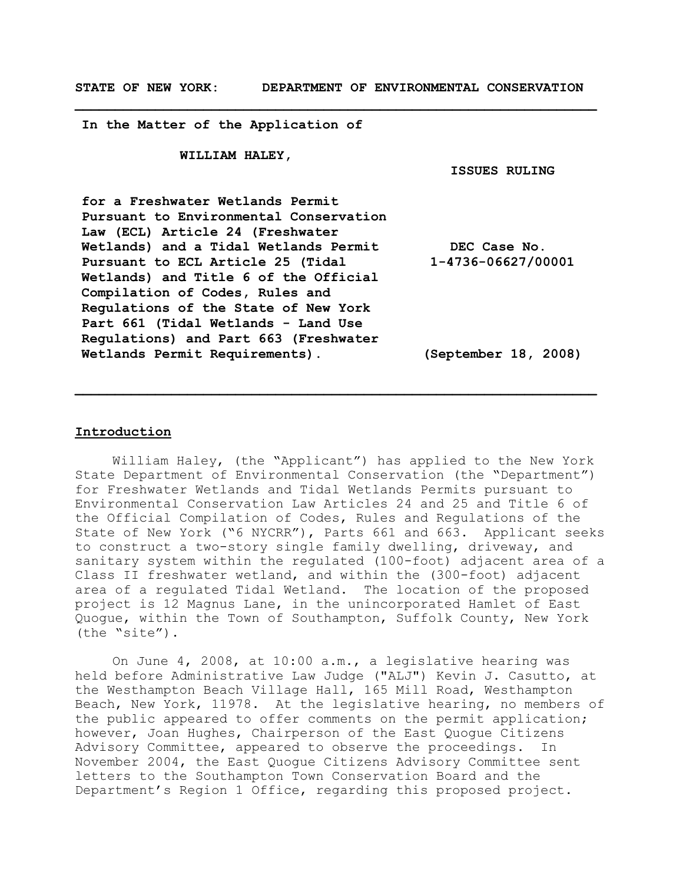**\_\_\_\_\_\_\_\_\_\_\_\_\_\_\_\_\_\_\_\_\_\_\_\_\_\_\_\_\_\_\_\_\_\_\_\_\_\_\_\_\_\_\_\_\_\_\_\_\_\_\_\_\_\_\_\_\_\_\_\_\_\_\_\_\_**

**In the Matter of the Application of**

**WILLIAM HALEY,**

**ISSUES RULING**

**for a Freshwater Wetlands Permit Pursuant to Environmental Conservation Law (ECL) Article 24 (Freshwater Wetlands) and a Tidal Wetlands Permit Pursuant to ECL Article 25 (Tidal Wetlands) and Title 6 of the Official Compilation of Codes, Rules and Regulations of the State of New York Part 661 (Tidal Wetlands - Land Use Regulations) and Part 663 (Freshwater Wetlands Permit Requirements). DEC Case No. 1-4736-06627/00001 (September 18, 2008)**

**\_\_\_\_\_\_\_\_\_\_\_\_\_\_\_\_\_\_\_\_\_\_\_\_\_\_\_\_\_\_\_\_\_\_\_\_\_\_\_\_\_\_\_\_\_\_\_\_\_\_\_\_\_\_\_\_\_\_\_\_\_\_\_\_\_**

### **Introduction**

William Haley, (the "Applicant") has applied to the New York State Department of Environmental Conservation (the "Department") for Freshwater Wetlands and Tidal Wetlands Permits pursuant to Environmental Conservation Law Articles 24 and 25 and Title 6 of the Official Compilation of Codes, Rules and Regulations of the State of New York ("6 NYCRR"), Parts 661 and 663. Applicant seeks to construct a two-story single family dwelling, driveway, and sanitary system within the regulated (100-foot) adjacent area of a Class II freshwater wetland, and within the (300-foot) adjacent area of a regulated Tidal Wetland. The location of the proposed project is 12 Magnus Lane, in the unincorporated Hamlet of East Quogue, within the Town of Southampton, Suffolk County, New York (the "site").

On June 4, 2008, at 10:00 a.m., a legislative hearing was held before Administrative Law Judge ("ALJ") Kevin J. Casutto, at the Westhampton Beach Village Hall, 165 Mill Road, Westhampton Beach, New York, 11978. At the legislative hearing, no members of the public appeared to offer comments on the permit application; however, Joan Hughes, Chairperson of the East Quogue Citizens Advisory Committee, appeared to observe the proceedings. In November 2004, the East Quogue Citizens Advisory Committee sent letters to the Southampton Town Conservation Board and the Department's Region 1 Office, regarding this proposed project.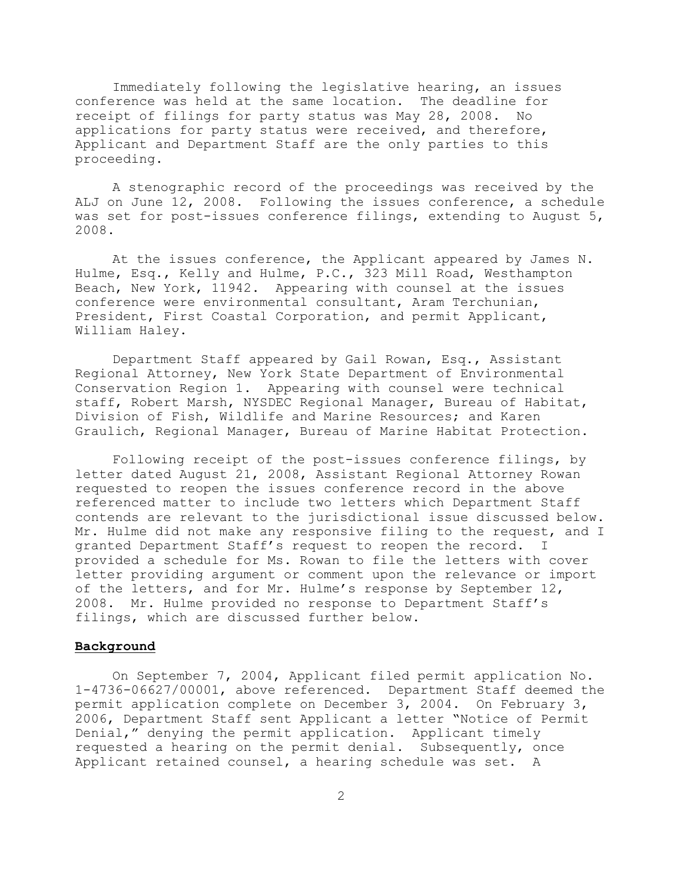Immediately following the legislative hearing, an issues conference was held at the same location. The deadline for receipt of filings for party status was May 28, 2008. No applications for party status were received, and therefore, Applicant and Department Staff are the only parties to this proceeding.

A stenographic record of the proceedings was received by the ALJ on June 12, 2008. Following the issues conference, a schedule was set for post-issues conference filings, extending to August 5, 2008.

At the issues conference, the Applicant appeared by James N. Hulme, Esq., Kelly and Hulme, P.C., 323 Mill Road, Westhampton Beach, New York, 11942. Appearing with counsel at the issues conference were environmental consultant, Aram Terchunian, President, First Coastal Corporation, and permit Applicant, William Haley.

Department Staff appeared by Gail Rowan, Esq., Assistant Regional Attorney, New York State Department of Environmental Conservation Region 1. Appearing with counsel were technical staff, Robert Marsh, NYSDEC Regional Manager, Bureau of Habitat, Division of Fish, Wildlife and Marine Resources; and Karen Graulich, Regional Manager, Bureau of Marine Habitat Protection.

Following receipt of the post-issues conference filings, by letter dated August 21, 2008, Assistant Regional Attorney Rowan requested to reopen the issues conference record in the above referenced matter to include two letters which Department Staff contends are relevant to the jurisdictional issue discussed below. Mr. Hulme did not make any responsive filing to the request, and I granted Department Staff's request to reopen the record. I provided a schedule for Ms. Rowan to file the letters with cover letter providing argument or comment upon the relevance or import of the letters, and for Mr. Hulme's response by September 12, 2008. Mr. Hulme provided no response to Department Staff's filings, which are discussed further below.

## **Background**

On September 7, 2004, Applicant filed permit application No. 1-4736-06627/00001, above referenced. Department Staff deemed the permit application complete on December 3, 2004. On February 3, 2006, Department Staff sent Applicant a letter "Notice of Permit Denial," denying the permit application. Applicant timely requested a hearing on the permit denial. Subsequently, once Applicant retained counsel, a hearing schedule was set. A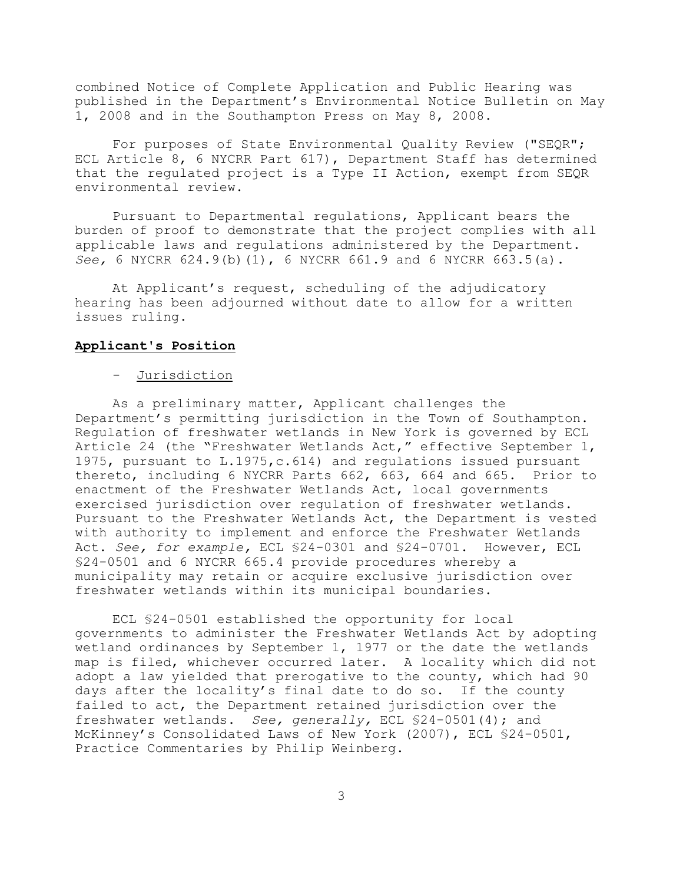combined Notice of Complete Application and Public Hearing was published in the Department's Environmental Notice Bulletin on May 1, 2008 and in the Southampton Press on May 8, 2008.

For purposes of State Environmental Quality Review ("SEQR"; ECL Article 8, 6 NYCRR Part 617), Department Staff has determined that the regulated project is a Type II Action, exempt from SEQR environmental review.

Pursuant to Departmental regulations, Applicant bears the burden of proof to demonstrate that the project complies with all applicable laws and regulations administered by the Department. *See,* 6 NYCRR 624.9(b)(1), 6 NYCRR 661.9 and 6 NYCRR 663.5(a).

At Applicant's request, scheduling of the adjudicatory hearing has been adjourned without date to allow for a written issues ruling.

### **Applicant's Position**

## - Jurisdiction

As a preliminary matter, Applicant challenges the Department's permitting jurisdiction in the Town of Southampton. Regulation of freshwater wetlands in New York is governed by ECL Article 24 (the "Freshwater Wetlands Act," effective September 1, 1975, pursuant to L.1975,c.614) and regulations issued pursuant thereto, including 6 NYCRR Parts 662, 663, 664 and 665. Prior to enactment of the Freshwater Wetlands Act, local governments exercised jurisdiction over regulation of freshwater wetlands. Pursuant to the Freshwater Wetlands Act, the Department is vested with authority to implement and enforce the Freshwater Wetlands Act. *See, for example,* ECL §24-0301 and §24-0701. However, ECL §24-0501 and 6 NYCRR 665.4 provide procedures whereby a municipality may retain or acquire exclusive jurisdiction over freshwater wetlands within its municipal boundaries.

ECL §24-0501 established the opportunity for local governments to administer the Freshwater Wetlands Act by adopting wetland ordinances by September 1, 1977 or the date the wetlands map is filed, whichever occurred later. A locality which did not adopt a law yielded that prerogative to the county, which had 90 days after the locality's final date to do so. If the county failed to act, the Department retained jurisdiction over the freshwater wetlands. *See, generally,* ECL §24-0501(4); and McKinney's Consolidated Laws of New York (2007), ECL §24-0501, Practice Commentaries by Philip Weinberg.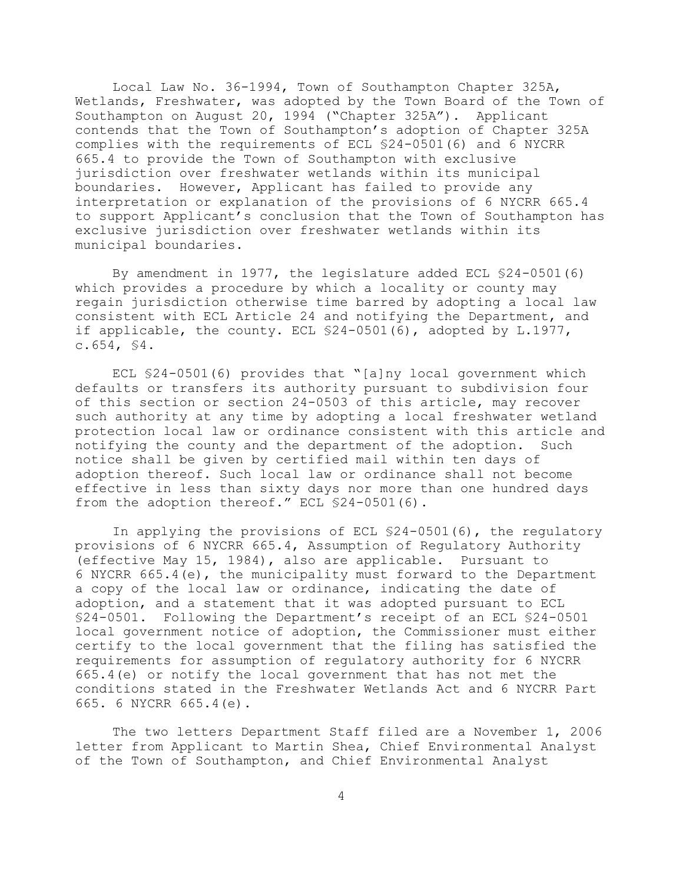Local Law No. 36-1994, Town of Southampton Chapter 325A, Wetlands, Freshwater, was adopted by the Town Board of the Town of Southampton on August 20, 1994 ("Chapter 325A"). Applicant contends that the Town of Southampton's adoption of Chapter 325A complies with the requirements of ECL §24-0501(6) and 6 NYCRR 665.4 to provide the Town of Southampton with exclusive jurisdiction over freshwater wetlands within its municipal boundaries. However, Applicant has failed to provide any interpretation or explanation of the provisions of 6 NYCRR 665.4 to support Applicant's conclusion that the Town of Southampton has exclusive jurisdiction over freshwater wetlands within its municipal boundaries.

By amendment in 1977, the legislature added ECL §24-0501(6) which provides a procedure by which a locality or county may regain jurisdiction otherwise time barred by adopting a local law consistent with ECL Article 24 and notifying the Department, and if applicable, the county. ECL §24-0501(6), adopted by L.1977,  $c.654, S4.$ 

ECL §24-0501(6) provides that "[a]ny local government which defaults or transfers its authority pursuant to subdivision four of this section or section 24-0503 of this article, may recover such authority at any time by adopting a local freshwater wetland protection local law or ordinance consistent with this article and notifying the county and the department of the adoption. Such notice shall be given by certified mail within ten days of adoption thereof. Such local law or ordinance shall not become effective in less than sixty days nor more than one hundred days from the adoption thereof." ECL \$24-0501(6).

In applying the provisions of ECL §24-0501(6), the regulatory provisions of 6 NYCRR 665.4, Assumption of Regulatory Authority (effective May 15, 1984), also are applicable. Pursuant to 6 NYCRR 665.4(e), the municipality must forward to the Department a copy of the local law or ordinance, indicating the date of adoption, and a statement that it was adopted pursuant to ECL §24-0501. Following the Department's receipt of an ECL §24-0501 local government notice of adoption, the Commissioner must either certify to the local government that the filing has satisfied the requirements for assumption of regulatory authority for 6 NYCRR 665.4(e) or notify the local government that has not met the conditions stated in the Freshwater Wetlands Act and 6 NYCRR Part 665. 6 NYCRR 665.4(e).

The two letters Department Staff filed are a November 1, 2006 letter from Applicant to Martin Shea, Chief Environmental Analyst of the Town of Southampton, and Chief Environmental Analyst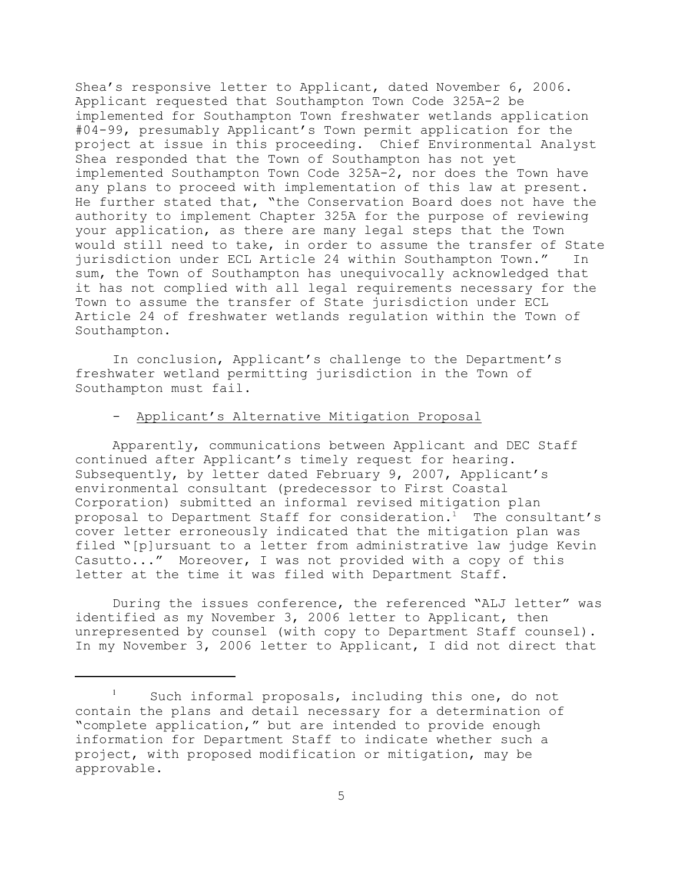Shea's responsive letter to Applicant, dated November 6, 2006. Applicant requested that Southampton Town Code 325A-2 be implemented for Southampton Town freshwater wetlands application #04-99, presumably Applicant's Town permit application for the project at issue in this proceeding. Chief Environmental Analyst Shea responded that the Town of Southampton has not yet implemented Southampton Town Code 325A-2, nor does the Town have any plans to proceed with implementation of this law at present. He further stated that, "the Conservation Board does not have the authority to implement Chapter 325A for the purpose of reviewing your application, as there are many legal steps that the Town would still need to take, in order to assume the transfer of State jurisdiction under ECL Article 24 within Southampton Town." In sum, the Town of Southampton has unequivocally acknowledged that it has not complied with all legal requirements necessary for the Town to assume the transfer of State jurisdiction under ECL Article 24 of freshwater wetlands regulation within the Town of Southampton.

In conclusion, Applicant's challenge to the Department's freshwater wetland permitting jurisdiction in the Town of Southampton must fail.

# - Applicant's Alternative Mitigation Proposal

Apparently, communications between Applicant and DEC Staff continued after Applicant's timely request for hearing. Subsequently, by letter dated February 9, 2007, Applicant's environmental consultant (predecessor to First Coastal Corporation) submitted an informal revised mitigation plan proposal to Department Staff for consideration.<sup>1</sup> The consultant's cover letter erroneously indicated that the mitigation plan was filed "[p]ursuant to a letter from administrative law judge Kevin Casutto..." Moreover, I was not provided with a copy of this letter at the time it was filed with Department Staff.

During the issues conference, the referenced "ALJ letter" was identified as my November 3, 2006 letter to Applicant, then unrepresented by counsel (with copy to Department Staff counsel). In my November 3, 2006 letter to Applicant, I did not direct that

Such informal proposals, including this one, do not contain the plans and detail necessary for a determination of "complete application," but are intended to provide enough information for Department Staff to indicate whether such a project, with proposed modification or mitigation, may be approvable.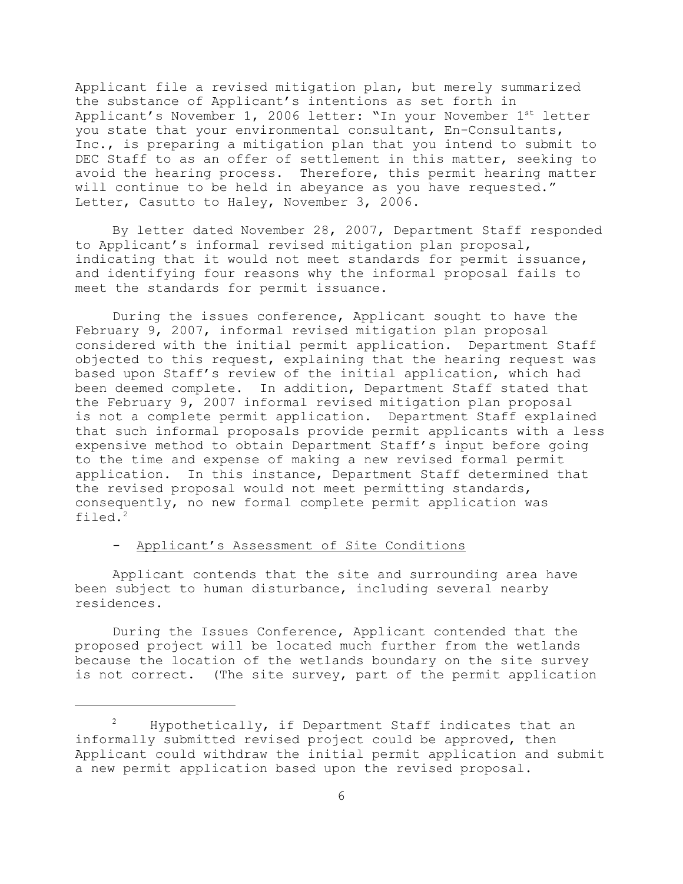Applicant file a revised mitigation plan, but merely summarized the substance of Applicant's intentions as set forth in Applicant's November 1, 2006 letter: "In your November  $1<sup>st</sup>$  letter you state that your environmental consultant, En-Consultants, Inc., is preparing a mitigation plan that you intend to submit to DEC Staff to as an offer of settlement in this matter, seeking to avoid the hearing process. Therefore, this permit hearing matter will continue to be held in abeyance as you have requested." Letter, Casutto to Haley, November 3, 2006.

By letter dated November 28, 2007, Department Staff responded to Applicant's informal revised mitigation plan proposal, indicating that it would not meet standards for permit issuance, and identifying four reasons why the informal proposal fails to meet the standards for permit issuance.

During the issues conference, Applicant sought to have the February 9, 2007, informal revised mitigation plan proposal considered with the initial permit application. Department Staff objected to this request, explaining that the hearing request was based upon Staff's review of the initial application, which had been deemed complete. In addition, Department Staff stated that the February 9, 2007 informal revised mitigation plan proposal is not a complete permit application. Department Staff explained that such informal proposals provide permit applicants with a less expensive method to obtain Department Staff's input before going to the time and expense of making a new revised formal permit application. In this instance, Department Staff determined that the revised proposal would not meet permitting standards, consequently, no new formal complete permit application was filed. 2

# - Applicant's Assessment of Site Conditions

Applicant contends that the site and surrounding area have been subject to human disturbance, including several nearby residences.

During the Issues Conference, Applicant contended that the proposed project will be located much further from the wetlands because the location of the wetlands boundary on the site survey is not correct. (The site survey, part of the permit application

Hypothetically, if Department Staff indicates that an <sup>2</sup> informally submitted revised project could be approved, then Applicant could withdraw the initial permit application and submit a new permit application based upon the revised proposal.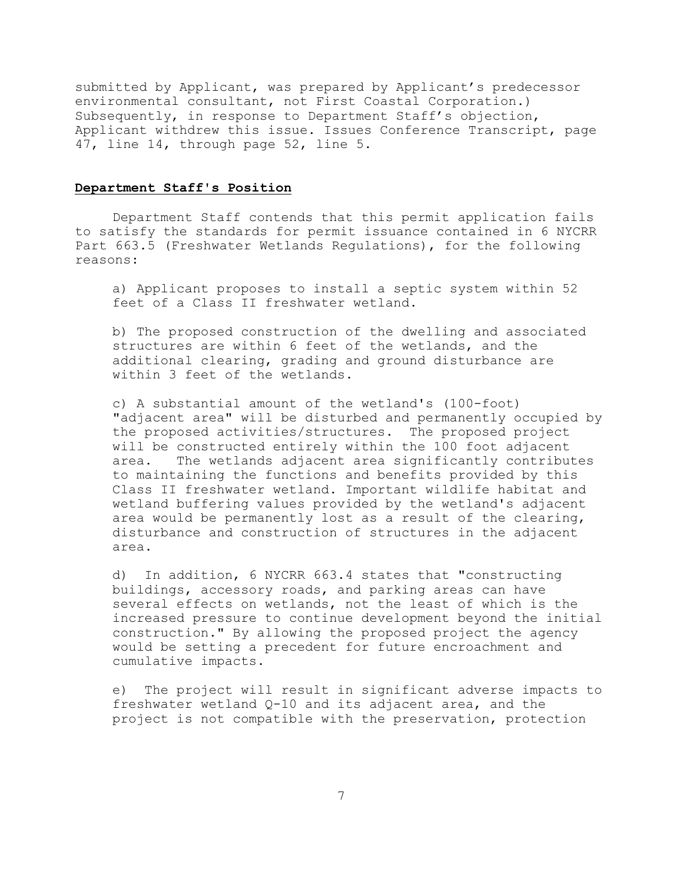submitted by Applicant, was prepared by Applicant's predecessor environmental consultant, not First Coastal Corporation.) Subsequently, in response to Department Staff's objection, Applicant withdrew this issue. Issues Conference Transcript, page 47, line 14, through page 52, line 5.

#### **Department Staff's Position**

Department Staff contends that this permit application fails to satisfy the standards for permit issuance contained in 6 NYCRR Part 663.5 (Freshwater Wetlands Regulations), for the following reasons:

a) Applicant proposes to install a septic system within 52 feet of a Class II freshwater wetland.

b) The proposed construction of the dwelling and associated structures are within 6 feet of the wetlands, and the additional clearing, grading and ground disturbance are within 3 feet of the wetlands.

c) A substantial amount of the wetland's (100-foot) "adjacent area" will be disturbed and permanently occupied by the proposed activities/structures. The proposed project will be constructed entirely within the 100 foot adjacent area. The wetlands adjacent area significantly contributes to maintaining the functions and benefits provided by this Class II freshwater wetland. Important wildlife habitat and wetland buffering values provided by the wetland's adjacent area would be permanently lost as a result of the clearing, disturbance and construction of structures in the adjacent area.

d) In addition, 6 NYCRR 663.4 states that "constructing buildings, accessory roads, and parking areas can have several effects on wetlands, not the least of which is the increased pressure to continue development beyond the initial construction." By allowing the proposed project the agency would be setting a precedent for future encroachment and cumulative impacts.

e) The project will result in significant adverse impacts to freshwater wetland Q-10 and its adjacent area, and the project is not compatible with the preservation, protection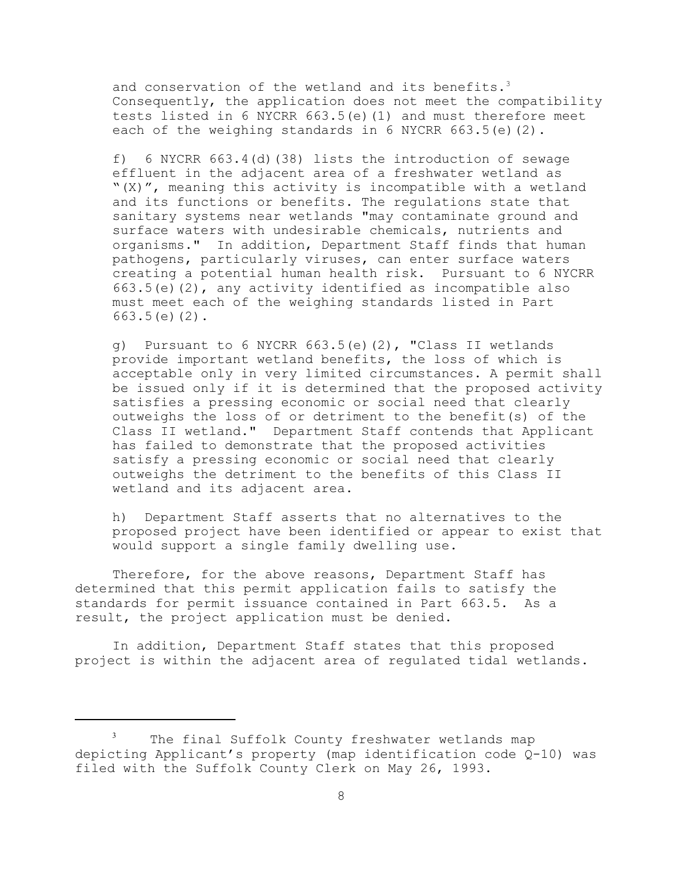and conservation of the wetland and its benefits.<sup>3</sup> Consequently, the application does not meet the compatibility tests listed in 6 NYCRR 663.5(e)(1) and must therefore meet each of the weighing standards in 6 NYCRR 663.5(e)(2).

f) 6 NYCRR 663.4(d)(38) lists the introduction of sewage effluent in the adjacent area of a freshwater wetland as "(X)", meaning this activity is incompatible with a wetland and its functions or benefits. The regulations state that sanitary systems near wetlands "may contaminate ground and surface waters with undesirable chemicals, nutrients and organisms." In addition, Department Staff finds that human pathogens, particularly viruses, can enter surface waters creating a potential human health risk. Pursuant to 6 NYCRR 663.5(e)(2), any activity identified as incompatible also must meet each of the weighing standards listed in Part 663.5(e)(2).

g) Pursuant to 6 NYCRR 663.5(e)(2), "Class II wetlands provide important wetland benefits, the loss of which is acceptable only in very limited circumstances. A permit shall be issued only if it is determined that the proposed activity satisfies a pressing economic or social need that clearly outweighs the loss of or detriment to the benefit(s) of the Class II wetland." Department Staff contends that Applicant has failed to demonstrate that the proposed activities satisfy a pressing economic or social need that clearly outweighs the detriment to the benefits of this Class II wetland and its adjacent area.

h) Department Staff asserts that no alternatives to the proposed project have been identified or appear to exist that would support a single family dwelling use.

Therefore, for the above reasons, Department Staff has determined that this permit application fails to satisfy the standards for permit issuance contained in Part 663.5. As a result, the project application must be denied.

In addition, Department Staff states that this proposed project is within the adjacent area of regulated tidal wetlands.

The final Suffolk County freshwater wetlands map depicting Applicant's property (map identification code Q-10) was filed with the Suffolk County Clerk on May 26, 1993.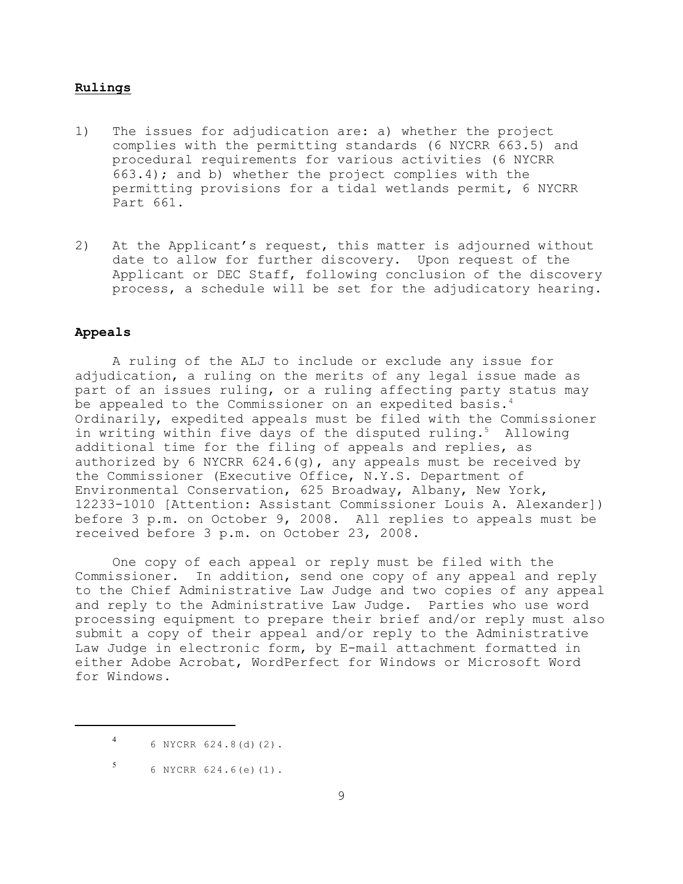#### **Rulings**

- 1) The issues for adjudication are: a) whether the project complies with the permitting standards (6 NYCRR 663.5) and procedural requirements for various activities (6 NYCRR 663.4); and b) whether the project complies with the permitting provisions for a tidal wetlands permit, 6 NYCRR Part 661.
- 2) At the Applicant's request, this matter is adjourned without date to allow for further discovery. Upon request of the Applicant or DEC Staff, following conclusion of the discovery process, a schedule will be set for the adjudicatory hearing.

## **Appeals**

A ruling of the ALJ to include or exclude any issue for adjudication, a ruling on the merits of any legal issue made as part of an issues ruling, or a ruling affecting party status may be appealed to the Commissioner on an expedited basis.<sup>4</sup> Ordinarily, expedited appeals must be filed with the Commissioner in writing within five days of the disputed ruling.<sup>5</sup> Allowing additional time for the filing of appeals and replies, as authorized by 6 NYCRR  $624.6(q)$ , any appeals must be received by the Commissioner (Executive Office, N.Y.S. Department of Environmental Conservation, 625 Broadway, Albany, New York, 12233-1010 [Attention: Assistant Commissioner Louis A. Alexander]) before 3 p.m. on October 9, 2008. All replies to appeals must be received before 3 p.m. on October 23, 2008.

One copy of each appeal or reply must be filed with the Commissioner. In addition, send one copy of any appeal and reply to the Chief Administrative Law Judge and two copies of any appeal and reply to the Administrative Law Judge. Parties who use word processing equipment to prepare their brief and/or reply must also submit a copy of their appeal and/or reply to the Administrative Law Judge in electronic form, by E-mail attachment formatted in either Adobe Acrobat, WordPerfect for Windows or Microsoft Word for Windows.

<sup>6</sup> NYCRR 624.8(d)(2). <sup>4</sup>

 $5$  6 NYCRR 624.6(e)(1).